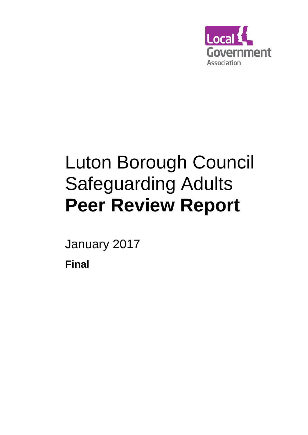

# Luton Borough Council Safeguarding Adults **Peer Review Report**

January 2017

**Final**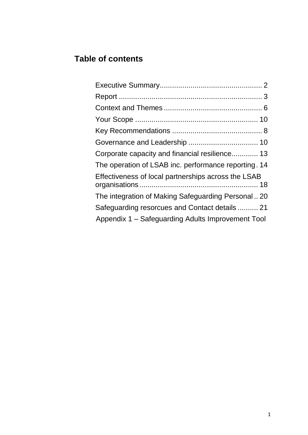## **Table of contents**

| Corporate capacity and financial resilience 13       |
|------------------------------------------------------|
| The operation of LSAB inc. performance reporting. 14 |
| Effectiveness of local partnerships across the LSAB  |
| The integration of Making Safeguarding Personal 20   |
| Safeguarding resorcues and Contact details  21       |
| Appendix 1 - Safeguarding Adults Improvement Tool    |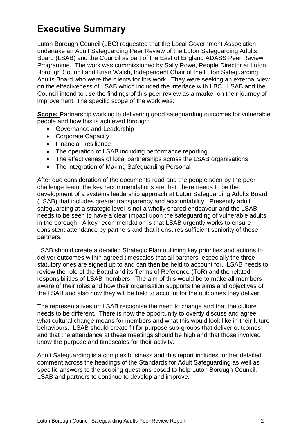# **Executive Summary**

Luton Borough Council (LBC) requested that the Local Government Association undertake an Adult Safeguarding Peer Review of the Luton Safeguarding Adults Board (LSAB) and the Council as part of the East of England ADASS Peer Review Programme. The work was commissioned by Sally Rowe, People Director at Luton Borough Council and Brian Walsh, Independent Chair of the Luton Safeguarding Adults Board who were the clients for this work. They were seeking an external view on the effectiveness of LSAB which included the interface with LBC. LSAB and the Council intend to use the findings of this peer review as a marker on their journey of improvement. The specific scope of the work was:

**Scope:** Partnership working in delivering good safeguarding outcomes for vulnerable people and how this is achieved through:

- Governance and Leadership
- Corporate Capacity
- Financial Resilience
- The operation of LSAB including performance reporting
- The effectiveness of local partnerships across the LSAB organisations
- The integration of Making Safeguarding Personal

After due consideration of the documents read and the people seen by the peer challenge team, the key recommendations are that: there needs to be the development of a systems leadership approach at Luton Safeguarding Adults Board (LSAB) that includes greater transparency and accountability. Presently adult safeguarding at a strategic level is not a wholly shared endeavour and the LSAB needs to be seen to have a clear impact upon the safeguarding of vulnerable adults in the borough. A key recommendation is that LSAB urgently works to ensure consistent attendance by partners and that it ensures sufficient seniority of those partners.

LSAB should create a detailed Strategic Plan outlining key priorities and actions to deliver outcomes within agreed timescales that all partners, especially the three statutory ones are signed up to and can then be held to account for. LSAB needs to review the role of the Board and its Terms of Reference (ToR) and the related responsibilities of LSAB members. The aim of this would be to make all members aware of their roles and how their organisation supports the aims and objectives of the LSAB and also how they will be held to account for the outcomes they deliver.

The representatives on LSAB recognise the need to change and that the culture needs to be different. There is now the opportunity to overtly discuss and agree what cultural change means for members and what this would look like in their future behaviours. LSAB should create fit for purpose sub-groups that deliver outcomes and that the attendance at these meetings should be high and that those involved know the purpose and timescales for their activity.

Adult Safeguarding is a complex business and this report includes further detailed comment across the headings of the Standards for Adult Safeguarding as well as specific answers to the scoping questions posed to help Luton Borough Council, LSAB and partners to continue to develop and improve.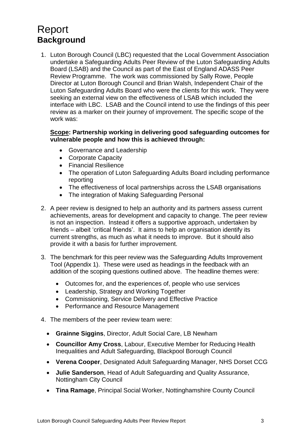# <span id="page-3-0"></span>Report **Background**

1. Luton Borough Council (LBC) requested that the Local Government Association undertake a Safeguarding Adults Peer Review of the Luton Safeguarding Adults Board (LSAB) and the Council as part of the East of England ADASS Peer Review Programme. The work was commissioned by Sally Rowe, People Director at Luton Borough Council and Brian Walsh, Independent Chair of the Luton Safeguarding Adults Board who were the clients for this work. They were seeking an external view on the effectiveness of LSAB which included the interface with LBC. LSAB and the Council intend to use the findings of this peer review as a marker on their journey of improvement. The specific scope of the work was:

#### **Scope: Partnership working in delivering good safeguarding outcomes for vulnerable people and how this is achieved through:**

- Governance and Leadership
- Corporate Capacity
- Financial Resilience
- The operation of Luton Safeguarding Adults Board including performance reporting
- The effectiveness of local partnerships across the LSAB organisations
- The integration of Making Safeguarding Personal
- 2. A peer review is designed to help an authority and its partners assess current achievements, areas for development and capacity to change. The peer review is not an inspection. Instead it offers a supportive approach, undertaken by friends – albeit 'critical friends'. It aims to help an organisation identify its current strengths, as much as what it needs to improve. But it should also provide it with a basis for further improvement.
- 3. The benchmark for this peer review was the Safeguarding Adults Improvement Tool (Appendix 1). These were used as headings in the feedback with an addition of the scoping questions outlined above. The headline themes were:
	- Outcomes for, and the experiences of, people who use services
	- Leadership, Strategy and Working Together
	- Commissioning, Service Delivery and Effective Practice
	- Performance and Resource Management
- 4. The members of the peer review team were:
	- **Grainne Siggins**, Director, Adult Social Care, LB Newham
	- **Councillor Amy Cross**, Labour, Executive Member for Reducing Health Inequalities and Adult Safeguarding, Blackpool Borough Council
	- **Verena Cooper**, Designated Adult Safeguarding Manager, NHS Dorset CCG
	- **Julie Sanderson**, Head of Adult Safeguarding and Quality Assurance, Nottingham City Council
	- **Tina Ramage**, Principal Social Worker, Nottinghamshire County Council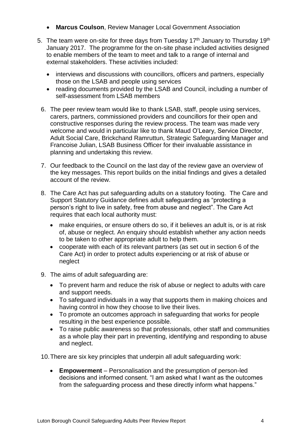- **Marcus Coulson**, Review Manager Local Government Association
- 5. The team were on-site for three days from Tuesday  $17<sup>th</sup>$  January to Thursday  $19<sup>th</sup>$ January 2017. The programme for the on-site phase included activities designed to enable members of the team to meet and talk to a range of internal and external stakeholders. These activities included:
	- interviews and discussions with councillors, officers and partners, especially those on the LSAB and people using services
	- reading documents provided by the LSAB and Council, including a number of self-assessment from LSAB members
	- 6. The peer review team would like to thank LSAB, staff, people using services, carers, partners, commissioned providers and councillors for their open and constructive responses during the review process. The team was made very welcome and would in particular like to thank Maud O'Leary, Service Director, Adult Social Care, Brickchand Ramruttun, Strategic Safeguarding Manager and Francoise Julian, LSAB Business Officer for their invaluable assistance in planning and undertaking this review.
	- 7. Our feedback to the Council on the last day of the review gave an overview of the key messages. This report builds on the initial findings and gives a detailed account of the review.
	- 8. The Care Act has put safeguarding adults on a statutory footing. The Care and Support Statutory Guidance defines adult safeguarding as "protecting a person's right to live in safety, free from abuse and neglect". The Care Act requires that each local authority must:
		- make enquiries, or ensure others do so, if it believes an adult is, or is at risk of, abuse or neglect. An enquiry should establish whether any action needs to be taken to other appropriate adult to help them.
		- cooperate with each of its relevant partners (as set out in section 6 of the Care Act) in order to protect adults experiencing or at risk of abuse or neglect
	- 9. The aims of adult safeguarding are:
		- To prevent harm and reduce the risk of abuse or neglect to adults with care and support needs.
		- To safeguard individuals in a way that supports them in making choices and having control in how they choose to live their lives.
		- To promote an outcomes approach in safeguarding that works for people resulting in the best experience possible.
		- To raise public awareness so that professionals, other staff and communities as a whole play their part in preventing, identifying and responding to abuse and neglect.

10.There are six key principles that underpin all adult safeguarding work:

 **Empowerment** – Personalisation and the presumption of person-led decisions and informed consent. "I am asked what I want as the outcomes from the safeguarding process and these directly inform what happens."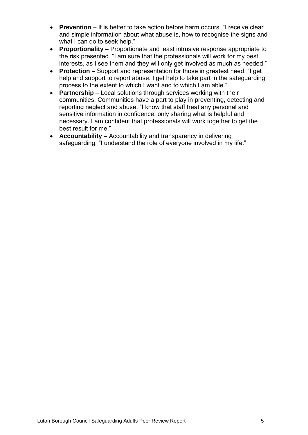- **Prevention** It is better to take action before harm occurs. "I receive clear and simple information about what abuse is, how to recognise the signs and what I can do to seek help."
- **Proportionality** Proportionate and least intrusive response appropriate to the risk presented. "I am sure that the professionals will work for my best interests, as I see them and they will only get involved as much as needed."
- **Protection** Support and representation for those in greatest need. "I get help and support to report abuse. I get help to take part in the safeguarding process to the extent to which I want and to which I am able."
- **Partnership** Local solutions through services working with their communities. Communities have a part to play in preventing, detecting and reporting neglect and abuse. "I know that staff treat any personal and sensitive information in confidence, only sharing what is helpful and necessary. I am confident that professionals will work together to get the best result for me."
- **Accountability** Accountability and transparency in delivering safeguarding. "I understand the role of everyone involved in my life."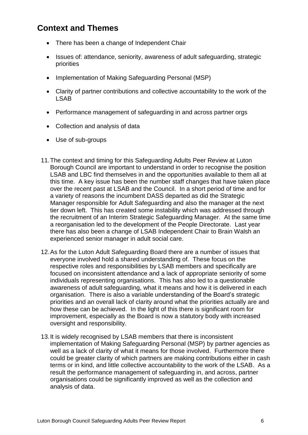## <span id="page-6-0"></span>**Context and Themes**

- There has been a change of Independent Chair
- Issues of: attendance, seniority, awareness of adult safeguarding, strategic priorities
- Implementation of Making Safeguarding Personal (MSP)
- Clarity of partner contributions and collective accountability to the work of the LSAB
- Performance management of safeguarding in and across partner orgs
- Collection and analysis of data
- Use of sub-groups
- 11.The context and timing for this Safeguarding Adults Peer Review at Luton Borough Council are important to understand in order to recognise the position LSAB and LBC find themselves in and the opportunities available to them all at this time. A key issue has been the number staff changes that have taken place over the recent past at LSAB and the Council. In a short period of time and for a variety of reasons the incumbent DASS departed as did the Strategic Manager responsible for Adult Safeguarding and also the manager at the next tier down left. This has created some instability which was addressed through the recruitment of an Interim Strategic Safeguarding Manager. At the same time a reorganisation led to the development of the People Directorate. Last year there has also been a change of LSAB Independent Chair to Brain Walsh an experienced senior manager in adult social care.
- 12.As for the Luton Adult Safeguarding Board there are a number of issues that everyone involved hold a shared understanding of. These focus on the respective roles and responsibilities by LSAB members and specifically are focused on inconsistent attendance and a lack of appropriate seniority of some individuals representing organisations. This has also led to a questionable awareness of adult safeguarding, what it means and how it is delivered in each organisation. There is also a variable understanding of the Board's strategic priorities and an overall lack of clarity around what the priorities actually are and how these can be achieved. In the light of this there is significant room for improvement, especially as the Board is now a statutory body with increased oversight and responsibility.
- 13.It is widely recognised by LSAB members that there is inconsistent implementation of Making Safeguarding Personal (MSP) by partner agencies as well as a lack of clarity of what it means for those involved. Furthermore there could be greater clarity of which partners are making contributions either in cash terms or in kind, and little collective accountability to the work of the LSAB. As a result the performance management of safeguarding in, and across, partner organisations could be significantly improved as well as the collection and analysis of data.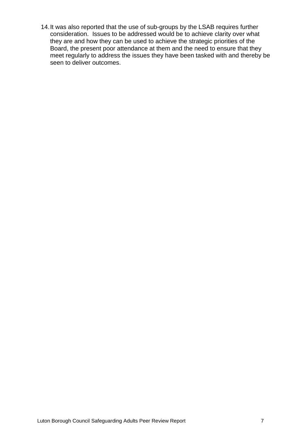14.It was also reported that the use of sub-groups by the LSAB requires further consideration. Issues to be addressed would be to achieve clarity over what they are and how they can be used to achieve the strategic priorities of the Board, the present poor attendance at them and the need to ensure that they meet regularly to address the issues they have been tasked with and thereby be seen to deliver outcomes.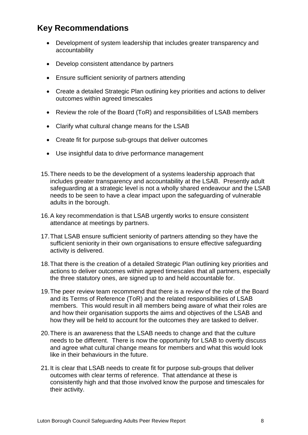## **Key Recommendations**

- Development of system leadership that includes greater transparency and accountability
- Develop consistent attendance by partners
- Ensure sufficient seniority of partners attending
- Create a detailed Strategic Plan outlining key priorities and actions to deliver outcomes within agreed timescales
- Review the role of the Board (ToR) and responsibilities of LSAB members
- Clarify what cultural change means for the LSAB
- Create fit for purpose sub-groups that deliver outcomes
- Use insightful data to drive performance management
- 15.There needs to be the development of a systems leadership approach that includes greater transparency and accountability at the LSAB. Presently adult safeguarding at a strategic level is not a wholly shared endeavour and the LSAB needs to be seen to have a clear impact upon the safeguarding of vulnerable adults in the borough.
- 16.A key recommendation is that LSAB urgently works to ensure consistent attendance at meetings by partners.
- 17.That LSAB ensure sufficient seniority of partners attending so they have the sufficient seniority in their own organisations to ensure effective safeguarding activity is delivered.
- 18.That there is the creation of a detailed Strategic Plan outlining key priorities and actions to deliver outcomes within agreed timescales that all partners, especially the three statutory ones, are signed up to and held accountable for.
- 19.The peer review team recommend that there is a review of the role of the Board and its Terms of Reference (ToR) and the related responsibilities of LSAB members. This would result in all members being aware of what their roles are and how their organisation supports the aims and objectives of the LSAB and how they will be held to account for the outcomes they are tasked to deliver.
- 20.There is an awareness that the LSAB needs to change and that the culture needs to be different. There is now the opportunity for LSAB to overtly discuss and agree what cultural change means for members and what this would look like in their behaviours in the future.
- 21.It is clear that LSAB needs to create fit for purpose sub-groups that deliver outcomes with clear terms of reference. That attendance at these is consistently high and that those involved know the purpose and timescales for their activity.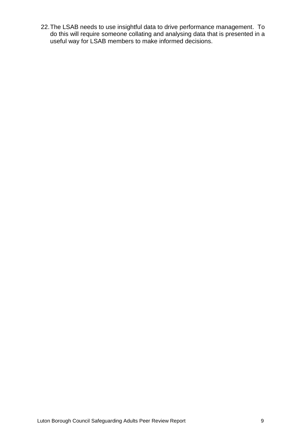22.The LSAB needs to use insightful data to drive performance management. To do this will require someone collating and analysing data that is presented in a useful way for LSAB members to make informed decisions.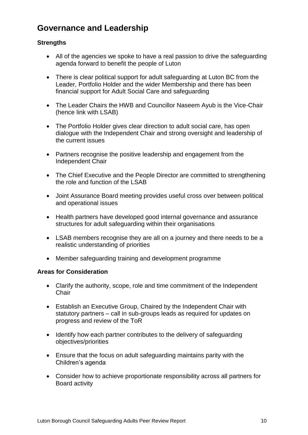## **Governance and Leadership**

### **Strengths**

- All of the agencies we spoke to have a real passion to drive the safeguarding agenda forward to benefit the people of Luton
- There is clear political support for adult safeguarding at Luton BC from the Leader, Portfolio Holder and the wider Membership and there has been financial support for Adult Social Care and safeguarding
- The Leader Chairs the HWB and Councillor Naseem Ayub is the Vice-Chair (hence link with LSAB)
- The Portfolio Holder gives clear direction to adult social care, has open dialogue with the Independent Chair and strong oversight and leadership of the current issues
- Partners recognise the positive leadership and engagement from the Independent Chair
- The Chief Executive and the People Director are committed to strengthening the role and function of the LSAB
- Joint Assurance Board meeting provides useful cross over between political and operational issues
- Health partners have developed good internal governance and assurance structures for adult safeguarding within their organisations
- LSAB members recognise they are all on a journey and there needs to be a realistic understanding of priorities
- Member safeguarding training and development programme

#### **Areas for Consideration**

- Clarify the authority, scope, role and time commitment of the Independent **Chair**
- Establish an Executive Group, Chaired by the Independent Chair with statutory partners – call in sub-groups leads as required for updates on progress and review of the ToR
- Identify how each partner contributes to the delivery of safeguarding objectives/priorities
- Ensure that the focus on adult safeguarding maintains parity with the Children's agenda
- Consider how to achieve proportionate responsibility across all partners for Board activity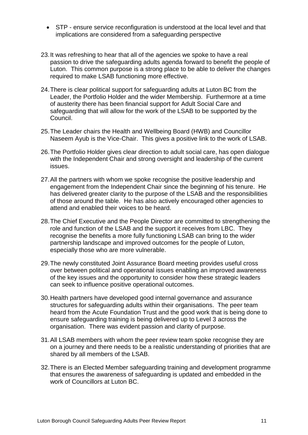- STP ensure service reconfiguration is understood at the local level and that implications are considered from a safeguarding perspective
- 23.It was refreshing to hear that all of the agencies we spoke to have a real passion to drive the safeguarding adults agenda forward to benefit the people of Luton. This common purpose is a strong place to be able to deliver the changes required to make LSAB functioning more effective.
- 24.There is clear political support for safeguarding adults at Luton BC from the Leader, the Portfolio Holder and the wider Membership. Furthermore at a time of austerity there has been financial support for Adult Social Care and safeguarding that will allow for the work of the LSAB to be supported by the Council.
- 25.The Leader chairs the Health and Wellbeing Board (HWB) and Councillor Naseem Ayub is the Vice-Chair. This gives a positive link to the work of LSAB.
- 26.The Portfolio Holder gives clear direction to adult social care, has open dialogue with the Independent Chair and strong oversight and leadership of the current issues.
- 27.All the partners with whom we spoke recognise the positive leadership and engagement from the Independent Chair since the beginning of his tenure. He has delivered greater clarity to the purpose of the LSAB and the responsibilities of those around the table. He has also actively encouraged other agencies to attend and enabled their voices to be heard.
- 28.The Chief Executive and the People Director are committed to strengthening the role and function of the LSAB and the support it receives from LBC. They recognise the benefits a more fully functioning LSAB can bring to the wider partnership landscape and improved outcomes for the people of Luton, especially those who are more vulnerable.
- 29.The newly constituted Joint Assurance Board meeting provides useful cross over between political and operational issues enabling an improved awareness of the key issues and the opportunity to consider how these strategic leaders can seek to influence positive operational outcomes.
- 30.Health partners have developed good internal governance and assurance structures for safeguarding adults within their organisations. The peer team heard from the Acute Foundation Trust and the good work that is being done to ensure safeguarding training is being delivered up to Level 3 across the organisation. There was evident passion and clarity of purpose.
- 31.All LSAB members with whom the peer review team spoke recognise they are on a journey and there needs to be a realistic understanding of priorities that are shared by all members of the LSAB.
- 32.There is an Elected Member safeguarding training and development programme that ensures the awareness of safeguarding is updated and embedded in the work of Councillors at Luton BC.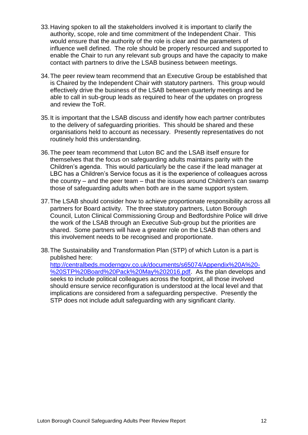- 33.Having spoken to all the stakeholders involved it is important to clarify the authority, scope, role and time commitment of the Independent Chair. This would ensure that the authority of the role is clear and the parameters of influence well defined. The role should be properly resourced and supported to enable the Chair to run any relevant sub groups and have the capacity to make contact with partners to drive the LSAB business between meetings.
- 34.The peer review team recommend that an Executive Group be established that is Chaired by the Independent Chair with statutory partners. This group would effectively drive the business of the LSAB between quarterly meetings and be able to call in sub-group leads as required to hear of the updates on progress and review the ToR.
- 35.It is important that the LSAB discuss and identify how each partner contributes to the delivery of safeguarding priorities. This should be shared and these organisations held to account as necessary. Presently representatives do not routinely hold this understanding.
- 36.The peer team recommend that Luton BC and the LSAB itself ensure for themselves that the focus on safeguarding adults maintains parity with the Children's agenda. This would particularly be the case if the lead manager at LBC has a Children's Service focus as it is the experience of colleagues across the country – and the peer team – that the issues around Children's can swamp those of safeguarding adults when both are in the same support system.
- 37.The LSAB should consider how to achieve proportionate responsibility across all partners for Board activity. The three statutory partners, Luton Borough Council, Luton Clinical Commissioning Group and Bedfordshire Police will drive the work of the LSAB through an Executive Sub-group but the priorities are shared. Some partners will have a greater role on the LSAB than others and this involvement needs to be recognised and proportionate.
- 38.The Sustainability and Transformation Plan (STP) of which Luton is a part is published here:

[http://centralbeds.moderngov.co.uk/documents/s65074/Appendix%20A%20-](http://centralbeds.moderngov.co.uk/documents/s65074/Appendix%20A%20-%20STP%20Board%20Pack%20May%202016.pdf) [%20STP%20Board%20Pack%20May%202016.pdf.](http://centralbeds.moderngov.co.uk/documents/s65074/Appendix%20A%20-%20STP%20Board%20Pack%20May%202016.pdf) As the plan develops and seeks to include political colleagues across the footprint, all those involved should ensure service reconfiguration is understood at the local level and that implications are considered from a safeguarding perspective. Presently the STP does not include adult safeguarding with any significant clarity.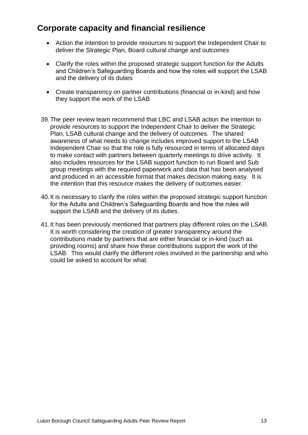## **Corporate capacity and financial resilience**

- Action the intention to provide resources to support the Independent Chair to deliver the Strategic Plan, Board cultural change and outcomes
- Clarify the roles within the proposed strategic support function for the Adults and Children's Safeguarding Boards and how the roles will support the LSAB and the delivery of its duties
- Create transparency on partner contributions (financial or in-kind) and how they support the work of the LSAB
- 39.The peer review team recommend that LBC and LSAB action the intention to provide resources to support the Independent Chair to deliver the Strategic Plan, LSAB cultural change and the delivery of outcomes. The shared awareness of what needs to change includes improved support to the LSAB Independent Chair so that the role is fully resourced in terms of allocated days to make contact with partners between quarterly meetings to drive activity. It also includes resources for the LSAB support function to run Board and Sub group meetings with the required paperwork and data that has been analysed and produced in an accessible format that makes decision making easy. It is the intention that this resource makes the delivery of outcomes easier.
- 40.It is necessary to clarify the roles within the proposed strategic support function for the Adults and Children's Safeguarding Boards and how the roles will support the LSAB and the delivery of its duties.
- 41.It has been previously mentioned that partners play different roles on the LSAB. It is worth considering the creation of greater transparency around the contributions made by partners that are either financial or in-kind (such as providing rooms) and share how these contributions support the work of the LSAB. This would clarify the different roles involved in the partnership and who could be asked to account for what.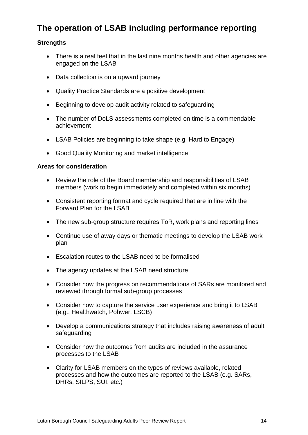## **The operation of LSAB including performance reporting**

### **Strengths**

- There is a real feel that in the last nine months health and other agencies are engaged on the LSAB
- Data collection is on a upward journey
- Quality Practice Standards are a positive development
- Beginning to develop audit activity related to safeguarding
- The number of DoLS assessments completed on time is a commendable achievement
- LSAB Policies are beginning to take shape (e.g. Hard to Engage)
- Good Quality Monitoring and market intelligence

#### **Areas for consideration**

- Review the role of the Board membership and responsibilities of LSAB members (work to begin immediately and completed within six months)
- Consistent reporting format and cycle required that are in line with the Forward Plan for the LSAB
- The new sub-group structure requires ToR, work plans and reporting lines
- Continue use of away days or thematic meetings to develop the LSAB work plan
- Escalation routes to the LSAB need to be formalised
- The agency updates at the LSAB need structure
- Consider how the progress on recommendations of SARs are monitored and reviewed through formal sub-group processes
- Consider how to capture the service user experience and bring it to LSAB (e.g., Healthwatch, Pohwer, LSCB)
- Develop a communications strategy that includes raising awareness of adult safeguarding
- Consider how the outcomes from audits are included in the assurance processes to the LSAB
- Clarity for LSAB members on the types of reviews available, related processes and how the outcomes are reported to the LSAB (e.g. SARs, DHRs, SILPS, SUI, etc.)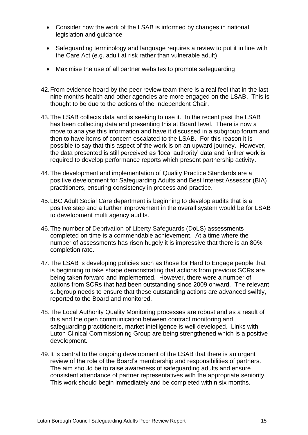- Consider how the work of the LSAB is informed by changes in national legislation and guidance
- Safeguarding terminology and language requires a review to put it in line with the Care Act (e.g. adult at risk rather than vulnerable adult)
- Maximise the use of all partner websites to promote safeguarding
- 42.From evidence heard by the peer review team there is a real feel that in the last nine months health and other agencies are more engaged on the LSAB. This is thought to be due to the actions of the Independent Chair.
- 43.The LSAB collects data and is seeking to use it. In the recent past the LSAB has been collecting data and presenting this at Board level. There is now a move to analyse this information and have it discussed in a subgroup forum and then to have items of concern escalated to the LSAB. For this reason it is possible to say that this aspect of the work is on an upward journey. However, the data presented is still perceived as 'local authority' data and further work is required to develop performance reports which present partnership activity.
- 44.The development and implementation of Quality Practice Standards are a positive development for Safeguarding Adults and Best Interest Assessor (BIA) practitioners, ensuring consistency in process and practice.
- 45.LBC Adult Social Care department is beginning to develop audits that is a positive step and a further improvement in the overall system would be for LSAB to development multi agency audits.
- 46.The number of Deprivation of Liberty Safeguards (DoLS) assessments completed on time is a commendable achievement. At a time where the number of assessments has risen hugely it is impressive that there is an 80% completion rate.
- 47.The LSAB is developing policies such as those for Hard to Engage people that is beginning to take shape demonstrating that actions from previous SCRs are being taken forward and implemented. However, there were a number of actions from SCRs that had been outstanding since 2009 onward. The relevant subgroup needs to ensure that these outstanding actions are advanced swiftly, reported to the Board and monitored.
- 48.The Local Authority Quality Monitoring processes are robust and as a result of this and the open communication between contract monitoring and safeguarding practitioners, market intelligence is well developed. Links with Luton Clinical Commissioning Group are being strengthened which is a positive development.
- 49.It is central to the ongoing development of the LSAB that there is an urgent review of the role of the Board's membership and responsibilities of partners. The aim should be to raise awareness of safeguarding adults and ensure consistent attendance of partner representatives with the appropriate seniority. This work should begin immediately and be completed within six months.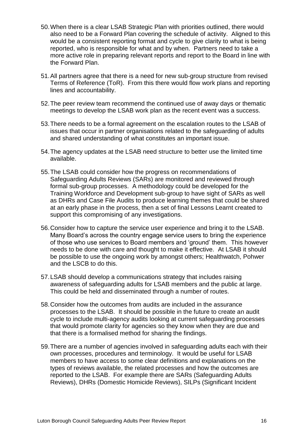- 50.When there is a clear LSAB Strategic Plan with priorities outlined, there would also need to be a Forward Plan covering the schedule of activity. Aligned to this would be a consistent reporting format and cycle to give clarity to what is being reported, who is responsible for what and by when. Partners need to take a more active role in preparing relevant reports and report to the Board in line with the Forward Plan.
- 51.All partners agree that there is a need for new sub-group structure from revised Terms of Reference (ToR). From this there would flow work plans and reporting lines and accountability.
- 52.The peer review team recommend the continued use of away days or thematic meetings to develop the LSAB work plan as the recent event was a success.
- 53.There needs to be a formal agreement on the escalation routes to the LSAB of issues that occur in partner organisations related to the safeguarding of adults and shared understanding of what constitutes an important issue.
- 54.The agency updates at the LSAB need structure to better use the limited time available.
- 55.The LSAB could consider how the progress on recommendations of Safeguarding Adults Reviews (SARs) are monitored and reviewed through formal sub-group processes. A methodology could be developed for the Training Workforce and Development sub-group to have sight of SARs as well as DHRs and Case File Audits to produce learning themes that could be shared at an early phase in the process, then a set of final Lessons Learnt created to support this compromising of any investigations.
- 56.Consider how to capture the service user experience and bring it to the LSAB. Many Board's across the country engage service users to bring the experience of those who use services to Board members and 'ground' them. This however needs to be done with care and thought to make it effective. At LSAB it should be possible to use the ongoing work by amongst others; Healthwatch, Pohwer and the LSCB to do this.
- 57.LSAB should develop a communications strategy that includes raising awareness of safeguarding adults for LSAB members and the public at large. This could be held and disseminated through a number of routes.
- 58.Consider how the outcomes from audits are included in the assurance processes to the LSAB. It should be possible in the future to create an audit cycle to include multi-agency audits looking at current safeguarding processes that would promote clarity for agencies so they know when they are due and that there is a formalised method for sharing the findings.
- 59.There are a number of agencies involved in safeguarding adults each with their own processes, procedures and terminology. It would be useful for LSAB members to have access to some clear definitions and explanations on the types of reviews available, the related processes and how the outcomes are reported to the LSAB. For example there are SARs (Safeguarding Adults Reviews), DHRs (Domestic Homicide Reviews), SILPs (Significant Incident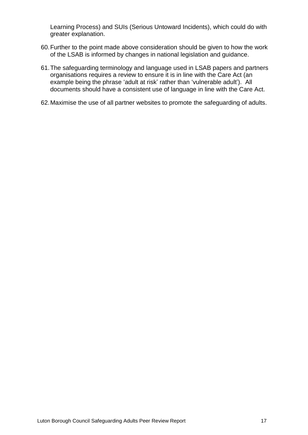Learning Process) and SUIs (Serious Untoward Incidents), which could do with greater explanation.

- 60.Further to the point made above consideration should be given to how the work of the LSAB is informed by changes in national legislation and guidance.
- 61.The safeguarding terminology and language used in LSAB papers and partners organisations requires a review to ensure it is in line with the Care Act (an example being the phrase 'adult at risk' rather than 'vulnerable adult'). All documents should have a consistent use of language in line with the Care Act.
- 62.Maximise the use of all partner websites to promote the safeguarding of adults.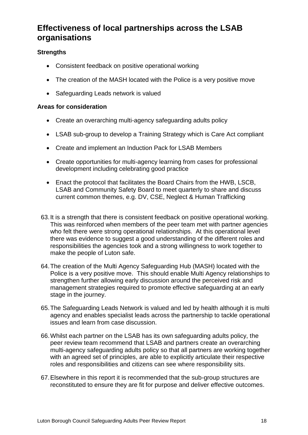## <span id="page-18-0"></span>**Effectiveness of local partnerships across the LSAB organisations**

## **Strengths**

- Consistent feedback on positive operational working
- The creation of the MASH located with the Police is a very positive move
- Safeguarding Leads network is valued

#### **Areas for consideration**

- Create an overarching multi-agency safeguarding adults policy
- LSAB sub-group to develop a Training Strategy which is Care Act compliant
- Create and implement an Induction Pack for LSAB Members
- Create opportunities for multi-agency learning from cases for professional development including celebrating good practice
- Enact the protocol that facilitates the Board Chairs from the HWB, LSCB, LSAB and Community Safety Board to meet quarterly to share and discuss current common themes, e.g. DV, CSE, Neglect & Human Trafficking
- 63.It is a strength that there is consistent feedback on positive operational working. This was reinforced when members of the peer team met with partner agencies who felt there were strong operational relationships. At this operational level there was evidence to suggest a good understanding of the different roles and responsibilities the agencies took and a strong willingness to work together to make the people of Luton safe.
- 64.The creation of the Multi Agency Safeguarding Hub (MASH) located with the Police is a very positive move. This should enable Multi Agency relationships to strengthen further allowing early discussion around the perceived risk and management strategies required to promote effective safeguarding at an early stage in the journey.
- 65.The Safeguarding Leads Network is valued and led by health although it is multi agency and enables specialist leads across the partnership to tackle operational issues and learn from case discussion.
- 66.Whilst each partner on the LSAB has its own safeguarding adults policy, the peer review team recommend that LSAB and partners create an overarching multi-agency safeguarding adults policy so that all partners are working together with an agreed set of principles, are able to explicitly articulate their respective roles and responsibilities and citizens can see where responsibility sits.
- 67.Elsewhere in this report it is recommended that the sub-group structures are reconstituted to ensure they are fit for purpose and deliver effective outcomes.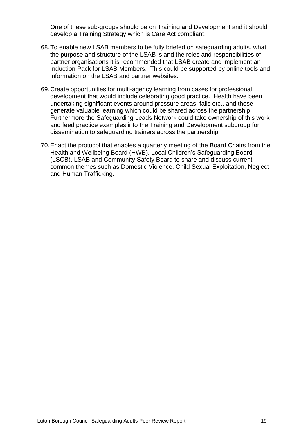One of these sub-groups should be on Training and Development and it should develop a Training Strategy which is Care Act compliant.

- 68.To enable new LSAB members to be fully briefed on safeguarding adults, what the purpose and structure of the LSAB is and the roles and responsibilities of partner organisations it is recommended that LSAB create and implement an Induction Pack for LSAB Members. This could be supported by online tools and information on the LSAB and partner websites.
- 69.Create opportunities for multi-agency learning from cases for professional development that would include celebrating good practice. Health have been undertaking significant events around pressure areas, falls etc., and these generate valuable learning which could be shared across the partnership. Furthermore the Safeguarding Leads Network could take ownership of this work and feed practice examples into the Training and Development subgroup for dissemination to safeguarding trainers across the partnership.
- 70.Enact the protocol that enables a quarterly meeting of the Board Chairs from the Health and Wellbeing Board (HWB), Local Children's Safeguarding Board (LSCB), LSAB and Community Safety Board to share and discuss current common themes such as Domestic Violence, Child Sexual Exploitation, Neglect and Human Trafficking.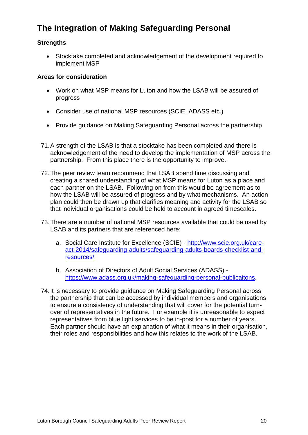## **The integration of Making Safeguarding Personal**

### **Strengths**

 Stocktake completed and acknowledgement of the development required to implement MSP

#### **Areas for consideration**

- Work on what MSP means for Luton and how the LSAB will be assured of progress
- Consider use of national MSP resources (SCIE, ADASS etc.)
- Provide guidance on Making Safeguarding Personal across the partnership
- 71.A strength of the LSAB is that a stocktake has been completed and there is acknowledgement of the need to develop the implementation of MSP across the partnership. From this place there is the opportunity to improve.
- 72.The peer review team recommend that LSAB spend time discussing and creating a shared understanding of what MSP means for Luton as a place and each partner on the LSAB. Following on from this would be agreement as to how the LSAB will be assured of progress and by what mechanisms. An action plan could then be drawn up that clarifies meaning and activity for the LSAB so that individual organisations could be held to account in agreed timescales.
- 73.There are a number of national MSP resources available that could be used by LSAB and its partners that are referenced here:
	- a. Social Care Institute for Excellence (SCIE) [http://www.scie.org.uk/care](http://www.scie.org.uk/care-act-2014/safeguarding-adults/safeguarding-adults-boards-checklist-and-resources/)[act-2014/safeguarding-adults/safeguarding-adults-boards-checklist-and](http://www.scie.org.uk/care-act-2014/safeguarding-adults/safeguarding-adults-boards-checklist-and-resources/)[resources/](http://www.scie.org.uk/care-act-2014/safeguarding-adults/safeguarding-adults-boards-checklist-and-resources/)
	- b. Association of Directors of Adult Social Services (ADASS) [https://www.adass.org.uk/making-safeguarding-personal-publicaitons.](https://www.adass.org.uk/making-safeguarding-personal-publicaitons)
- 74.It is necessary to provide guidance on Making Safeguarding Personal across the partnership that can be accessed by individual members and organisations to ensure a consistency of understanding that will cover for the potential turnover of representatives in the future. For example it is unreasonable to expect representatives from blue light services to be in-post for a number of years. Each partner should have an explanation of what it means in their organisation, their roles and responsibilities and how this relates to the work of the LSAB.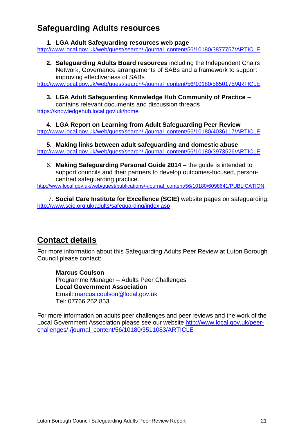## **Safeguarding Adults resources**

#### **1. LGA Adult Safeguarding resources web page**

[http://www.local.gov.uk/web/guest/search/-/journal\\_content/56/10180/3877757/ARTICLE](http://www.local.gov.uk/web/guest/search/-/journal_content/56/10180/3877757/ARTICLE)

**2. Safeguarding Adults Board resources** including the Independent Chairs Network, Governance arrangements of SABs and a framework to support improving effectiveness of SABs

[http://www.local.gov.uk/web/guest/search/-/journal\\_content/56/10180/5650175/ARTICLE](http://www.local.gov.uk/web/guest/search/-/journal_content/56/10180/5650175/ARTICLE)

#### **3. LGA Adult Safeguarding Knowledge Hub Community of Practice** – contains relevant documents and discussion threads

<https://knowledgehub.local.gov.uk/home>

**4. LGA Report on Learning from Adult Safeguarding Peer Review** [http://www.local.gov.uk/web/guest/search/-/journal\\_content/56/10180/4036117/ARTICLE](http://www.local.gov.uk/web/guest/search/-/journal_content/56/10180/4036117/ARTICLE)

**5. Making links between adult safeguarding and domestic abuse** [http://www.local.gov.uk/web/guest/search/-/journal\\_content/56/10180/3973526/ARTICLE](http://www.local.gov.uk/web/guest/search/-/journal_content/56/10180/3973526/ARTICLE)

6. **Making Safeguarding Personal Guide 2014** – the guide is intended to support councils and their partners to develop outcomes-focused, personcentred safeguarding practice.

[http://www.local.gov.uk/web/guest/publications/-/journal\\_content/56/10180/6098641/PUBLICATION](http://www.local.gov.uk/web/guest/publications/-/journal_content/56/10180/6098641/PUBLICATION)

7. **Social Care Institute for Excellence (SCIE)** website pages on safeguarding. <http://www.scie.org.uk/adults/safeguarding/index.asp>

## **Contact details**

For more information about this Safeguarding Adults Peer Review at Luton Borough Council please contact:

**Marcus Coulson** Programme Manager – Adults Peer Challenges **Local Government Association** Email: [marcus.coulson@local.gov.uk](mailto:marcus.coulson@local.gov.uk) Tel: 07766 252 853

For more information on adults peer challenges and peer reviews and the work of the Local Government Association please see our website [http://www.local.gov.uk/peer](http://www.local.gov.uk/peer-challenges/-/journal_content/56/10180/3511083/ARTICLE)[challenges/-/journal\\_content/56/10180/3511083/ARTICLE](http://www.local.gov.uk/peer-challenges/-/journal_content/56/10180/3511083/ARTICLE)